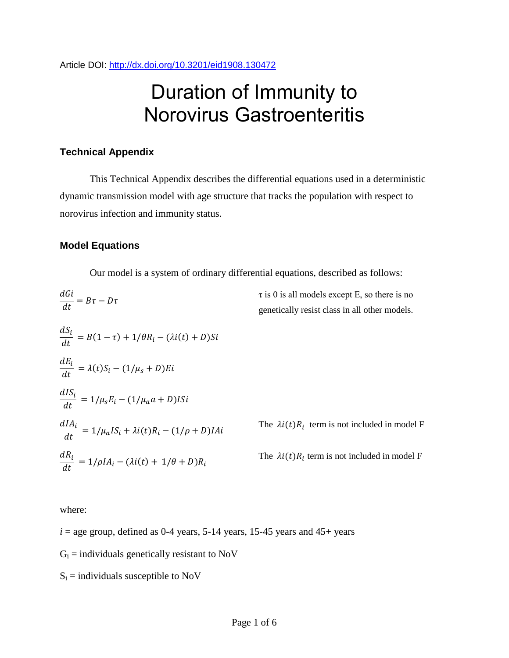Article DOI:<http://dx.doi.org/10.3201/eid1908.130472>

# Duration of Immunity to Norovirus Gastroenteritis

## **Technical Appendix**

This Technical Appendix describes the differential equations used in a deterministic dynamic transmission model with age structure that tracks the population with respect to norovirus infection and immunity status.

#### **Model Equations**

Our model is a system of ordinary differential equations, described as follows:

$$
\frac{dG}{dt} = B\tau - D\tau
$$
\n*at*\n
$$
\frac{dS_i}{dt} = B(1 - \tau) + 1/\theta R_i - (\lambda i(t) + D)Si
$$
\n
$$
\frac{dS_i}{dt} = \lambda(t)S_i - (1/\mu_s + D)Ei
$$
\n
$$
\frac{dI S_i}{dt} = 1/\mu_s E_i - (1/\mu_a a + D)Isi
$$
\n*at*\n
$$
\frac{dI S_i}{dt} = 1/\mu_s E_i - (1/\mu_a a + D)Isi
$$
\n
$$
\frac{dI A_i}{dt} = 1/\mu_a I S_i + \lambda i(t)R_i - (1/\rho + D)I A i
$$
\nThe  $\lambda i(t)R_i$  term is not included in model F  
\nThe  $\lambda i(t)R_i$  term is not included in model F  
\nThe  $\lambda i(t)R_i$  term is not included in model F

where:

 $i =$  age group, defined as 0-4 years, 5-14 years, 15-45 years and 45+ years

 $G_i$  = individuals genetically resistant to NoV

 $S_i$  = individuals susceptible to NoV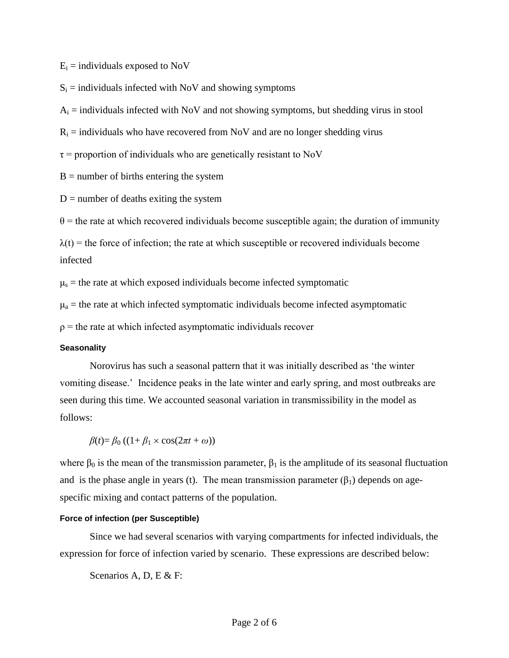$E_i$  = individuals exposed to NoV

 $S_i$  = individuals infected with NoV and showing symptoms

 $A_i$  = individuals infected with NoV and not showing symptoms, but shedding virus in stool

 $R_i$  = individuals who have recovered from NoV and are no longer shedding virus

 $\tau$  = proportion of individuals who are genetically resistant to NoV

 $B =$  number of births entering the system

 $D =$  number of deaths exiting the system

 $\theta$  = the rate at which recovered individuals become susceptible again; the duration of immunity

 $\lambda(t)$  = the force of infection; the rate at which susceptible or recovered individuals become infected

 $\mu$ <sub>s</sub> = the rate at which exposed individuals become infected symptomatic

 $\mu_a$  = the rate at which infected symptomatic individuals become infected asymptomatic

 $\rho$  = the rate at which infected asymptomatic individuals recover

#### **Seasonality**

Norovirus has such a seasonal pattern that it was initially described as 'the winter vomiting disease.' Incidence peaks in the late winter and early spring, and most outbreaks are seen during this time. We accounted seasonal variation in transmissibility in the model as follows:

 $B(t) = B_0 ((1 + B_1 \times \cos(2\pi t + \omega)))$ 

where  $\beta_0$  is the mean of the transmission parameter,  $\beta_1$  is the amplitude of its seasonal fluctuation and is the phase angle in years (t). The mean transmission parameter  $(\beta_1)$  depends on agespecific mixing and contact patterns of the population.

#### **Force of infection (per Susceptible)**

Since we had several scenarios with varying compartments for infected individuals, the expression for force of infection varied by scenario. These expressions are described below:

Scenarios A, D, E & F: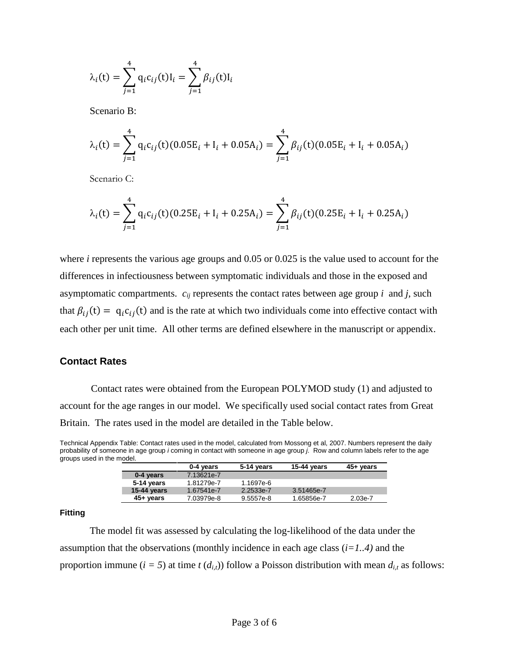$$
\lambda_i(t) = \sum_{j=1}^4 q_i c_{ij}(t) I_i = \sum_{j=1}^4 \beta_{ij}(t) I_i
$$

Scenario B:

$$
\lambda_i(t) = \sum_{j=1}^4 q_i c_{ij}(t) (0.05E_i + I_i + 0.05A_i) = \sum_{j=1}^4 \beta_{ij}(t) (0.05E_i + I_i + 0.05A_i)
$$

Scenario C:

$$
\lambda_i(t) = \sum_{j=1}^4 q_i c_{ij}(t) (0.25E_i + I_i + 0.25A_i) = \sum_{j=1}^4 \beta_{ij}(t) (0.25E_i + I_i + 0.25A_i)
$$

where *i* represents the various age groups and 0.05 or 0.025 is the value used to account for the differences in infectiousness between symptomatic individuals and those in the exposed and asymptomatic compartments.  $c_{ij}$  represents the contact rates between age group  $i$  and  $j$ , such that  $\beta_{ij}(t) = q_i c_{ij}(t)$  and is the rate at which two individuals come into effective contact with each other per unit time. All other terms are defined elsewhere in the manuscript or appendix.

#### **Contact Rates**

Contact rates were obtained from the European POLYMOD study (1) and adjusted to account for the age ranges in our model. We specifically used social contact rates from Great Britain. The rates used in the model are detailed in the Table below.

Technical Appendix Table: Contact rates used in the model, calculated from Mossong et al, 2007. Numbers represent the daily probability of someone in age group *i* coming in contact with someone in age group *j*. Row and column labels refer to the age groups used in the model.

|             | 0-4 years  | 5-14 years | 15-44 years | 45+ years |
|-------------|------------|------------|-------------|-----------|
| 0-4 years   | 7.13621e-7 |            |             |           |
| 5-14 years  | 1.81279e-7 | 1.1697e-6  |             |           |
| 15-44 years | 1.67541e-7 | 2.2533e-7  | 3.51465e-7  |           |
| 45+ years   | 7.03979e-8 | 9.5557e-8  | 1.65856e-7  | 2.03e-7   |

#### **Fitting**

The model fit was assessed by calculating the log-likelihood of the data under the assumption that the observations (monthly incidence in each age class (*i=1..4)* and the proportion immune  $(i = 5)$  at time  $t$  ( $d_{i,t}$ )) follow a Poisson distribution with mean  $d_{i,t}$  as follows: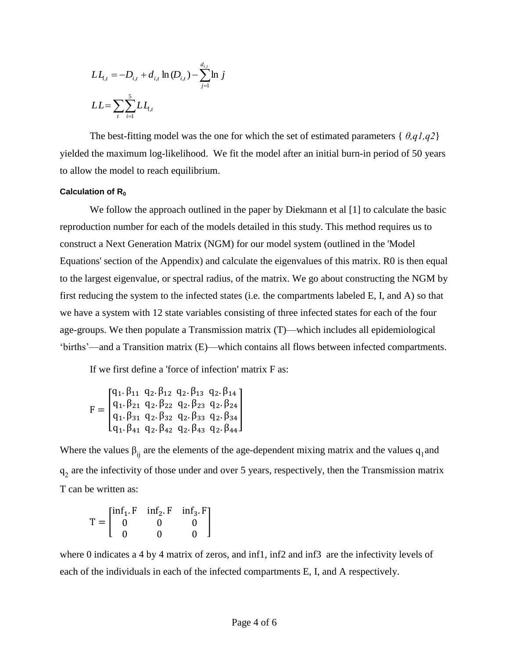$$
LL_{i,t} = -D_{i,t} + d_{i,t} \ln(D_{i,t}) - \sum_{j=1}^{d_{i,t}} \ln j
$$
  

$$
LL = \sum_{t} \sum_{i=1}^{5} LL_{i,t}
$$

The best-fitting model was the one for which the set of estimated parameters { *θ,q1,q2*} yielded the maximum log-likelihood. We fit the model after an initial burn-in period of 50 years to allow the model to reach equilibrium.

#### Calculation of R<sub>0</sub>

We follow the approach outlined in the paper by Diekmann et al [1] to calculate the basic reproduction number for each of the models detailed in this study. This method requires us to construct a Next Generation Matrix (NGM) for our model system (outlined in the 'Model Equations' section of the Appendix) and calculate the eigenvalues of this matrix. R0 is then equal to the largest eigenvalue, or spectral radius, of the matrix. We go about constructing the NGM by first reducing the system to the infected states (i.e. the compartments labeled E, I, and A) so that we have a system with 12 state variables consisting of three infected states for each of the four age-groups. We then populate a Transmission matrix (T)—which includes all epidemiological 'births'—and a Transition matrix (E)—which contains all flows between infected compartments.

If we first define a 'force of infection' matrix F as:

$$
F = \begin{bmatrix} q_1.\,\beta_{11} \ q_2.\,\beta_{12} \ q_2.\,\beta_{13} \ q_2.\,\beta_{14} \\ q_1.\,\beta_{21} \ q_2.\,\beta_{22} \ q_2.\,\beta_{23} \ q_2.\,\beta_{24} \\ q_1.\,\beta_{31} \ q_2.\,\beta_{32} \ q_2.\,\beta_{33} \ q_2.\,\beta_{34} \\ q_1.\,\beta_{41} \ q_2.\,\beta_{42} \ q_2.\,\beta_{43} \ q_2.\,\beta_{44} \end{bmatrix}
$$

Where the values  $\beta_{ij}$  are the elements of the age-dependent mixing matrix and the values  $q_1$  and  $q_2$  are the infectivity of those under and over 5 years, respectively, then the Transmission matrix T can be written as:

$$
T = \begin{bmatrix} \inf_{1} . F & \inf_{2} . F & \inf_{3} . F \\ 0 & 0 & 0 \\ 0 & 0 & 0 \end{bmatrix}
$$

where 0 indicates a 4 by 4 matrix of zeros, and inf1, inf2 and inf3 are the infectivity levels of each of the individuals in each of the infected compartments E, I, and A respectively.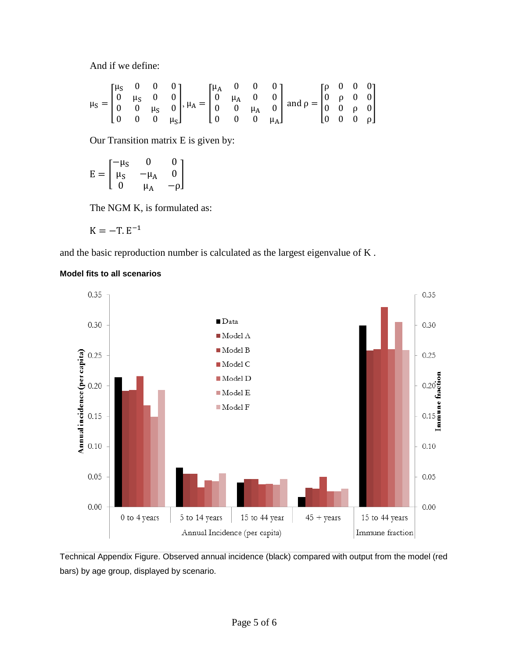And if we define:

$$
\mu_S = \begin{bmatrix} \mu_S & 0 & 0 & 0 \\ 0 & \mu_S & 0 & 0 \\ 0 & 0 & \mu_S & 0 \\ 0 & 0 & 0 & \mu_S \end{bmatrix}, \mu_A = \begin{bmatrix} \mu_A & 0 & 0 & 0 \\ 0 & \mu_A & 0 & 0 \\ 0 & 0 & \mu_A & 0 \\ 0 & 0 & 0 & \mu_A \end{bmatrix} \text{ and } \rho = \begin{bmatrix} \rho & 0 & 0 & 0 \\ 0 & \rho & 0 & 0 \\ 0 & 0 & \rho & 0 \\ 0 & 0 & 0 & \rho \end{bmatrix}
$$

Our Transition matrix E is given by:

$$
E=\begin{bmatrix}-\mu_S & 0 & 0\\ \mu_S & -\mu_A & 0\\ 0 & \mu_A & -\rho\end{bmatrix}
$$

The NGM K, is formulated as:

$$
K=-T.E^{-1}
$$

and the basic reproduction number is calculated as the largest eigenvalue of K .



## **Model fits to all scenarios**

Technical Appendix Figure. Observed annual incidence (black) compared with output from the model (red bars) by age group, displayed by scenario.